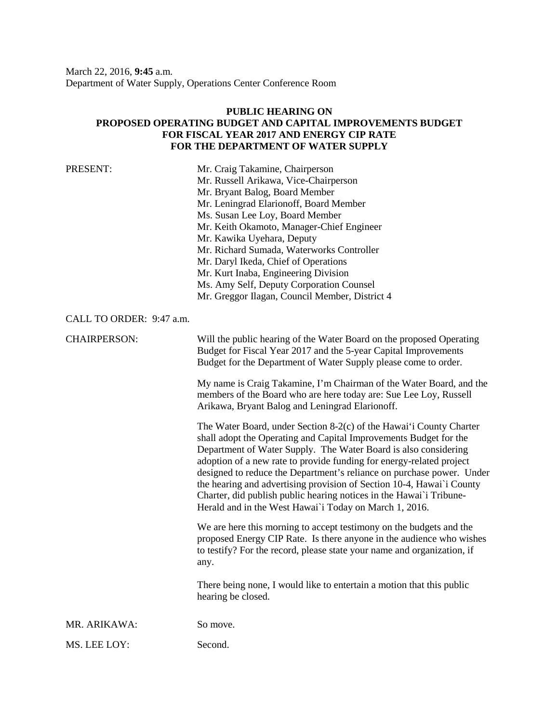March 22, 2016, **9:45** a.m. Department of Water Supply, Operations Center Conference Room

## **PUBLIC HEARING ON PROPOSED OPERATING BUDGET AND CAPITAL IMPROVEMENTS BUDGET FOR FISCAL YEAR 2017 AND ENERGY CIP RATE FOR THE DEPARTMENT OF WATER SUPPLY**

| PRESENT:                 | Mr. Craig Takamine, Chairperson<br>Mr. Russell Arikawa, Vice-Chairperson<br>Mr. Bryant Balog, Board Member<br>Mr. Leningrad Elarionoff, Board Member<br>Ms. Susan Lee Loy, Board Member<br>Mr. Keith Okamoto, Manager-Chief Engineer<br>Mr. Kawika Uyehara, Deputy<br>Mr. Richard Sumada, Waterworks Controller<br>Mr. Daryl Ikeda, Chief of Operations<br>Mr. Kurt Inaba, Engineering Division<br>Ms. Amy Self, Deputy Corporation Counsel<br>Mr. Greggor Ilagan, Council Member, District 4                                                                          |
|--------------------------|------------------------------------------------------------------------------------------------------------------------------------------------------------------------------------------------------------------------------------------------------------------------------------------------------------------------------------------------------------------------------------------------------------------------------------------------------------------------------------------------------------------------------------------------------------------------|
| CALL TO ORDER: 9:47 a.m. |                                                                                                                                                                                                                                                                                                                                                                                                                                                                                                                                                                        |
| <b>CHAIRPERSON:</b>      | Will the public hearing of the Water Board on the proposed Operating<br>Budget for Fiscal Year 2017 and the 5-year Capital Improvements<br>Budget for the Department of Water Supply please come to order.                                                                                                                                                                                                                                                                                                                                                             |
|                          | My name is Craig Takamine, I'm Chairman of the Water Board, and the<br>members of the Board who are here today are: Sue Lee Loy, Russell<br>Arikawa, Bryant Balog and Leningrad Elarionoff.                                                                                                                                                                                                                                                                                                                                                                            |
|                          | The Water Board, under Section 8-2(c) of the Hawai'i County Charter<br>shall adopt the Operating and Capital Improvements Budget for the<br>Department of Water Supply. The Water Board is also considering<br>adoption of a new rate to provide funding for energy-related project<br>designed to reduce the Department's reliance on purchase power. Under<br>the hearing and advertising provision of Section 10-4, Hawai'i County<br>Charter, did publish public hearing notices in the Hawai'i Tribune-<br>Herald and in the West Hawai'i Today on March 1, 2016. |
|                          | We are here this morning to accept testimony on the budgets and the<br>proposed Energy CIP Rate. Is there anyone in the audience who wishes<br>to testify? For the record, please state your name and organization, if<br>any.                                                                                                                                                                                                                                                                                                                                         |
|                          | There being none, I would like to entertain a motion that this public<br>hearing be closed.                                                                                                                                                                                                                                                                                                                                                                                                                                                                            |
| MR. ARIKAWA:             | So move.                                                                                                                                                                                                                                                                                                                                                                                                                                                                                                                                                               |
| MS. LEE LOY:             | Second.                                                                                                                                                                                                                                                                                                                                                                                                                                                                                                                                                                |